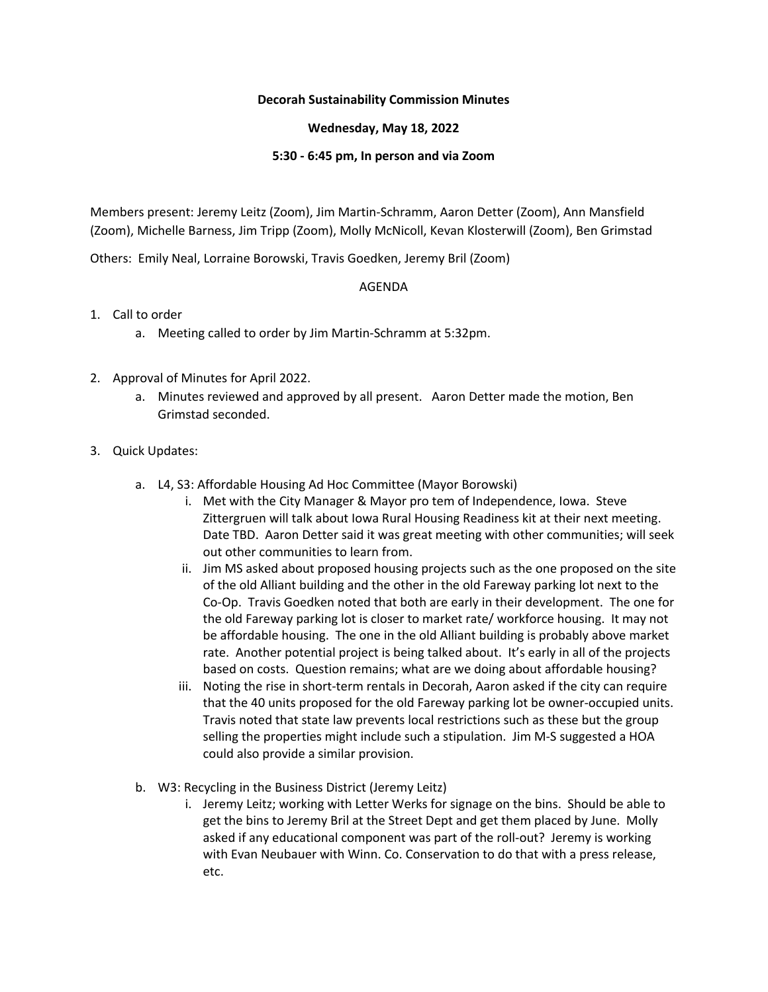# **Decorah Sustainability Commission Minutes**

### **Wednesday, May 18, 2022**

#### **5:30 - 6:45 pm, In person and via Zoom**

Members present: Jeremy Leitz (Zoom), Jim Martin-Schramm, Aaron Detter (Zoom), Ann Mansfield (Zoom), Michelle Barness, Jim Tripp (Zoom), Molly McNicoll, Kevan Klosterwill (Zoom), Ben Grimstad

Others: Emily Neal, Lorraine Borowski, Travis Goedken, Jeremy Bril (Zoom)

### AGENDA

# 1. Call to order

- a. Meeting called to order by Jim Martin-Schramm at 5:32pm.
- 2. Approval of Minutes for April 2022.
	- a. Minutes reviewed and approved by all present. Aaron Detter made the motion, Ben Grimstad seconded.

### 3. Quick Updates:

- a. L4, S3: Affordable Housing Ad Hoc Committee (Mayor Borowski)
	- i. Met with the City Manager & Mayor pro tem of Independence, Iowa. Steve Zittergruen will talk about Iowa Rural Housing Readiness kit at their next meeting. Date TBD. Aaron Detter said it was great meeting with other communities; will seek out other communities to learn from.
	- ii. Jim MS asked about proposed housing projects such as the one proposed on the site of the old Alliant building and the other in the old Fareway parking lot next to the Co-Op. Travis Goedken noted that both are early in their development. The one for the old Fareway parking lot is closer to market rate/ workforce housing. It may not be affordable housing. The one in the old Alliant building is probably above market rate. Another potential project is being talked about. It's early in all of the projects based on costs. Question remains; what are we doing about affordable housing?
	- iii. Noting the rise in short-term rentals in Decorah, Aaron asked if the city can require that the 40 units proposed for the old Fareway parking lot be owner-occupied units. Travis noted that state law prevents local restrictions such as these but the group selling the properties might include such a stipulation. Jim M-S suggested a HOA could also provide a similar provision.
- b. W3: Recycling in the Business District (Jeremy Leitz)
	- i. Jeremy Leitz; working with Letter Werks for signage on the bins. Should be able to get the bins to Jeremy Bril at the Street Dept and get them placed by June. Molly asked if any educational component was part of the roll-out? Jeremy is working with Evan Neubauer with Winn. Co. Conservation to do that with a press release, etc.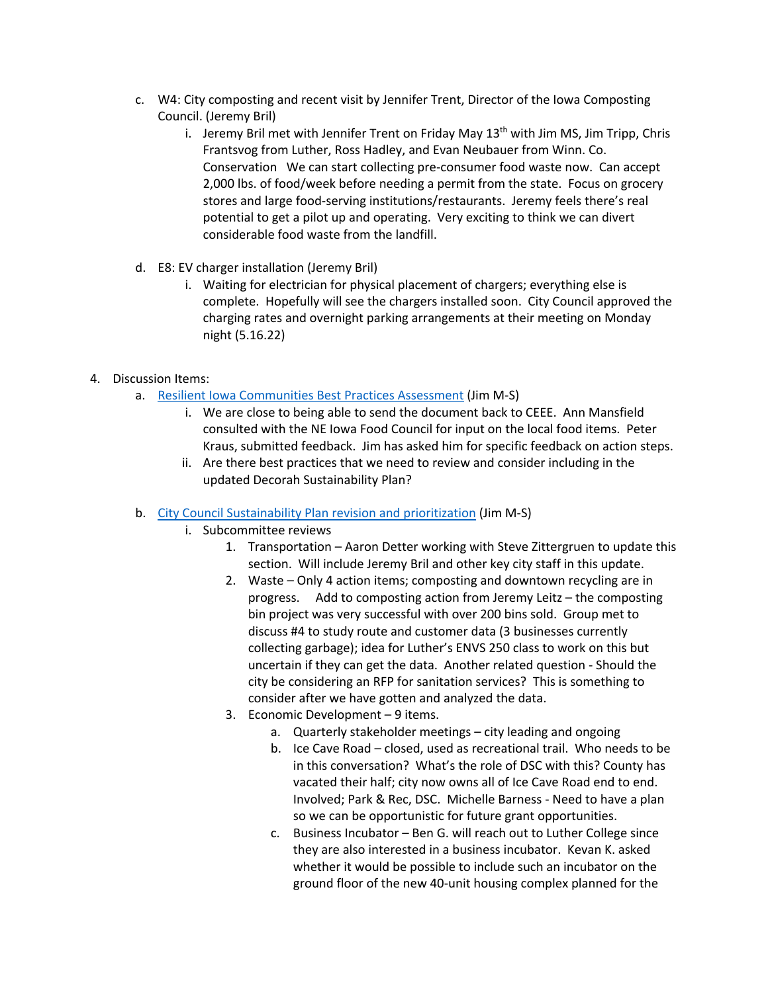- c. W4: City composting and recent visit by Jennifer Trent, Director of the Iowa Composting Council. (Jeremy Bril)
	- i. Jeremy Bril met with Jennifer Trent on Friday May  $13<sup>th</sup>$  with Jim MS, Jim Tripp, Chris Frantsvog from Luther, Ross Hadley, and Evan Neubauer from Winn. Co. Conservation We can start collecting pre-consumer food waste now. Can accept 2,000 lbs. of food/week before needing a permit from the state. Focus on grocery stores and large food-serving institutions/restaurants. Jeremy feels there's real potential to get a pilot up and operating. Very exciting to think we can divert considerable food waste from the landfill.
- d. E8: EV charger installation (Jeremy Bril)
	- i. Waiting for electrician for physical placement of chargers; everything else is complete. Hopefully will see the chargers installed soon. City Council approved the charging rates and overnight parking arrangements at their meeting on Monday night (5.16.22)
- 4. Discussion Items:
	- a. Resilient Iowa Communities Best Practices Assessment (Jim M-S)
		- i. We are close to being able to send the document back to CEEE. Ann Mansfield consulted with the NE Iowa Food Council for input on the local food items. Peter Kraus, submitted feedback. Jim has asked him for specific feedback on action steps.
		- ii. Are there best practices that we need to review and consider including in the updated Decorah Sustainability Plan?
	- b. City Council Sustainability Plan revision and prioritization (Jim M-S)
		- i. Subcommittee reviews
			- 1. Transportation Aaron Detter working with Steve Zittergruen to update this section. Will include Jeremy Bril and other key city staff in this update.
			- 2. Waste Only 4 action items; composting and downtown recycling are in progress. Add to composting action from Jeremy Leitz – the composting bin project was very successful with over 200 bins sold. Group met to discuss #4 to study route and customer data (3 businesses currently collecting garbage); idea for Luther's ENVS 250 class to work on this but uncertain if they can get the data. Another related question - Should the city be considering an RFP for sanitation services? This is something to consider after we have gotten and analyzed the data.
			- 3. Economic Development 9 items.
				- a. Quarterly stakeholder meetings city leading and ongoing
				- b. Ice Cave Road closed, used as recreational trail. Who needs to be in this conversation? What's the role of DSC with this? County has vacated their half; city now owns all of Ice Cave Road end to end. Involved; Park & Rec, DSC. Michelle Barness - Need to have a plan so we can be opportunistic for future grant opportunities.
				- c. Business Incubator Ben G. will reach out to Luther College since they are also interested in a business incubator. Kevan K. asked whether it would be possible to include such an incubator on the ground floor of the new 40-unit housing complex planned for the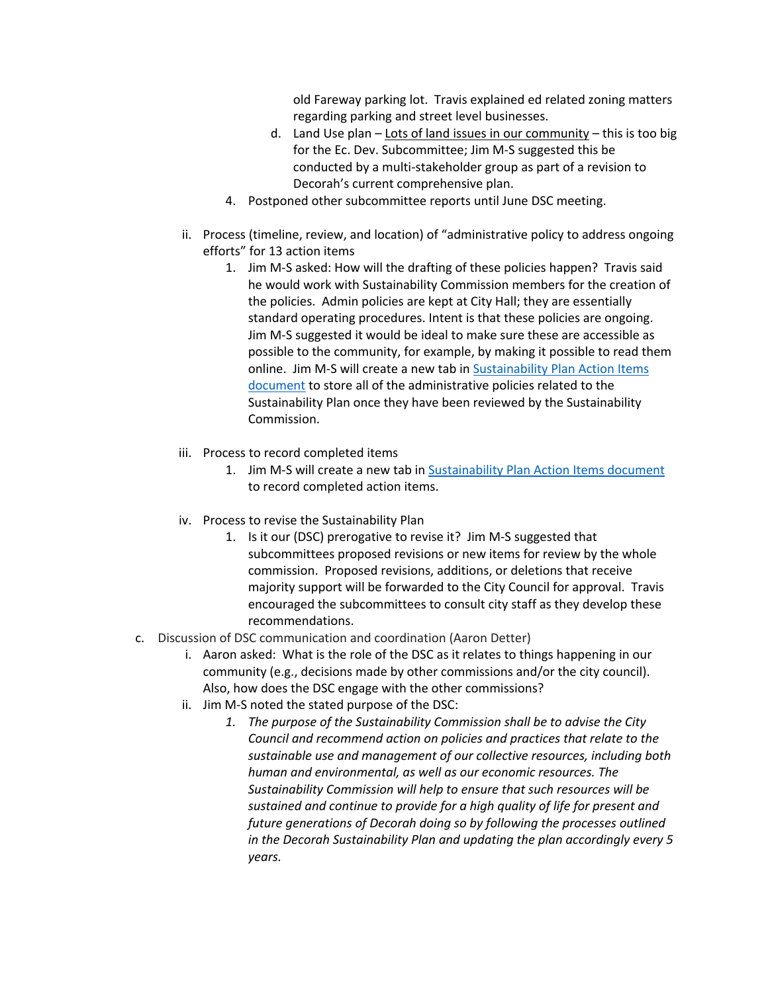old Fareway parking lot. Travis explained ed related zoning matters regarding parking and street level businesses.

- d. Land Use plan Lots of land issues in our community this is too big for the Ec. Dev. Subcommittee; Jim M-S suggested this be conducted by a multi-stakeholder group as part of a revision to Decorah's current comprehensive plan.
- 4. Postponed other subcommittee reports until June DSC meeting.
- ii. Process (timeline, review, and location) of "administrative policy to address ongoing efforts" for 13 action items
	- 1. Jim M-S asked: How will the drafting of these policies happen? Travis said he would work with Sustainability Commission members for the creation of the policies. Admin policies are kept at City Hall; they are essentially standard operating procedures. Intent is that these policies are ongoing. Jim M-S suggested it would be ideal to make sure these are accessible as possible to the community, for example, by making it possible to read them online. Jim M-S will create a new tab in Sustainability Plan Action Items document to store all of the administrative policies related to the Sustainability Plan once they have been reviewed by the Sustainability Commission.
- iii. Process to record completed items
	- 1. Jim M-S will create a new tab in Sustainability Plan Action Items document to record completed action items.
- iv. Process to revise the Sustainability Plan
	- 1. Is it our (DSC) prerogative to revise it? Jim M-S suggested that subcommittees proposed revisions or new items for review by the whole commission. Proposed revisions, additions, or deletions that receive majority support will be forwarded to the City Council for approval. Travis encouraged the subcommittees to consult city staff as they develop these recommendations.
- c. Discussion of DSC communication and coordination (Aaron Detter)
	- i. Aaron asked: What is the role of the DSC as it relates to things happening in our community (e.g., decisions made by other commissions and/or the city council). Also, how does the DSC engage with the other commissions?
	- ii. Jim M-S noted the stated purpose of the DSC:
		- *1. The purpose of the Sustainability Commission shall be to advise the City Council and recommend action on policies and practices that relate to the sustainable use and management of our collective resources, including both human and environmental, as well as our economic resources. The Sustainability Commission will help to ensure that such resources will be sustained and continue to provide for a high quality of life for present and future generations of Decorah doing so by following the processes outlined in the Decorah Sustainability Plan and updating the plan accordingly every 5 years.*